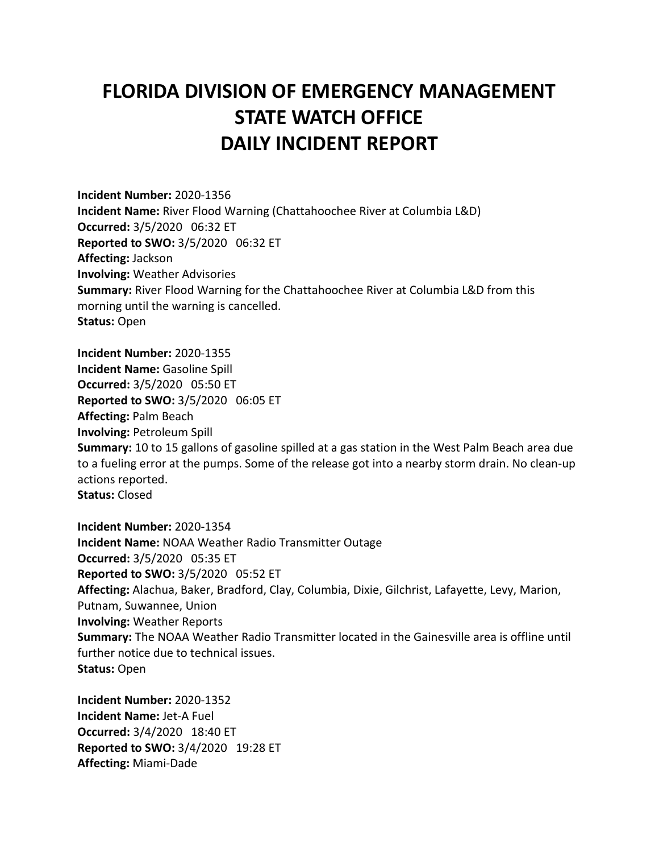## **FLORIDA DIVISION OF EMERGENCY MANAGEMENT STATE WATCH OFFICE DAILY INCIDENT REPORT**

**Incident Number:** 2020-1356 **Incident Name:** River Flood Warning (Chattahoochee River at Columbia L&D) **Occurred:** 3/5/2020 06:32 ET **Reported to SWO:** 3/5/2020 06:32 ET **Affecting:** Jackson **Involving:** Weather Advisories **Summary:** River Flood Warning for the Chattahoochee River at Columbia L&D from this morning until the warning is cancelled. **Status:** Open

**Incident Number:** 2020-1355 **Incident Name:** Gasoline Spill **Occurred:** 3/5/2020 05:50 ET **Reported to SWO:** 3/5/2020 06:05 ET **Affecting:** Palm Beach **Involving:** Petroleum Spill **Summary:** 10 to 15 gallons of gasoline spilled at a gas station in the West Palm Beach area due to a fueling error at the pumps. Some of the release got into a nearby storm drain. No clean-up actions reported. **Status:** Closed

**Incident Number:** 2020-1354 **Incident Name:** NOAA Weather Radio Transmitter Outage **Occurred:** 3/5/2020 05:35 ET **Reported to SWO:** 3/5/2020 05:52 ET **Affecting:** Alachua, Baker, Bradford, Clay, Columbia, Dixie, Gilchrist, Lafayette, Levy, Marion, Putnam, Suwannee, Union **Involving:** Weather Reports **Summary:** The NOAA Weather Radio Transmitter located in the Gainesville area is offline until further notice due to technical issues. **Status:** Open

**Incident Number:** 2020-1352 **Incident Name:** Jet-A Fuel **Occurred:** 3/4/2020 18:40 ET **Reported to SWO:** 3/4/2020 19:28 ET **Affecting:** Miami-Dade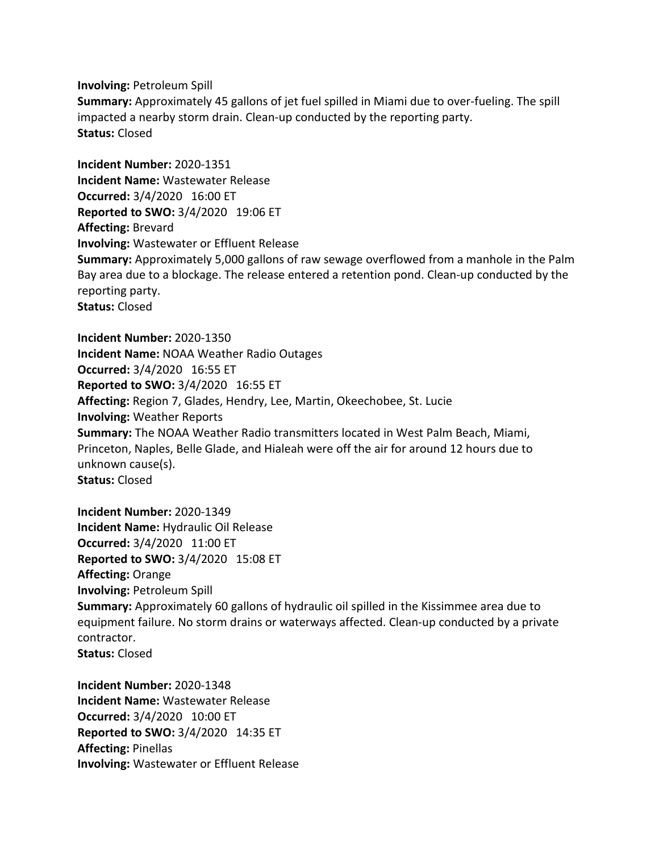**Involving:** Petroleum Spill

**Summary:** Approximately 45 gallons of jet fuel spilled in Miami due to over-fueling. The spill impacted a nearby storm drain. Clean-up conducted by the reporting party. **Status:** Closed

**Incident Number:** 2020-1351 **Incident Name:** Wastewater Release **Occurred:** 3/4/2020 16:00 ET **Reported to SWO:** 3/4/2020 19:06 ET **Affecting:** Brevard **Involving:** Wastewater or Effluent Release **Summary:** Approximately 5,000 gallons of raw sewage overflowed from a manhole in the Palm Bay area due to a blockage. The release entered a retention pond. Clean-up conducted by the reporting party. **Status:** Closed

**Incident Number:** 2020-1350 **Incident Name:** NOAA Weather Radio Outages **Occurred:** 3/4/2020 16:55 ET **Reported to SWO:** 3/4/2020 16:55 ET **Affecting:** Region 7, Glades, Hendry, Lee, Martin, Okeechobee, St. Lucie **Involving:** Weather Reports **Summary:** The NOAA Weather Radio transmitters located in West Palm Beach, Miami, Princeton, Naples, Belle Glade, and Hialeah were off the air for around 12 hours due to unknown cause(s). **Status:** Closed

**Incident Number:** 2020-1349 **Incident Name:** Hydraulic Oil Release **Occurred:** 3/4/2020 11:00 ET **Reported to SWO:** 3/4/2020 15:08 ET **Affecting:** Orange **Involving:** Petroleum Spill **Summary:** Approximately 60 gallons of hydraulic oil spilled in the Kissimmee area due to equipment failure. No storm drains or waterways affected. Clean-up conducted by a private contractor. **Status:** Closed

**Incident Number:** 2020-1348 **Incident Name:** Wastewater Release **Occurred:** 3/4/2020 10:00 ET **Reported to SWO:** 3/4/2020 14:35 ET **Affecting:** Pinellas **Involving:** Wastewater or Effluent Release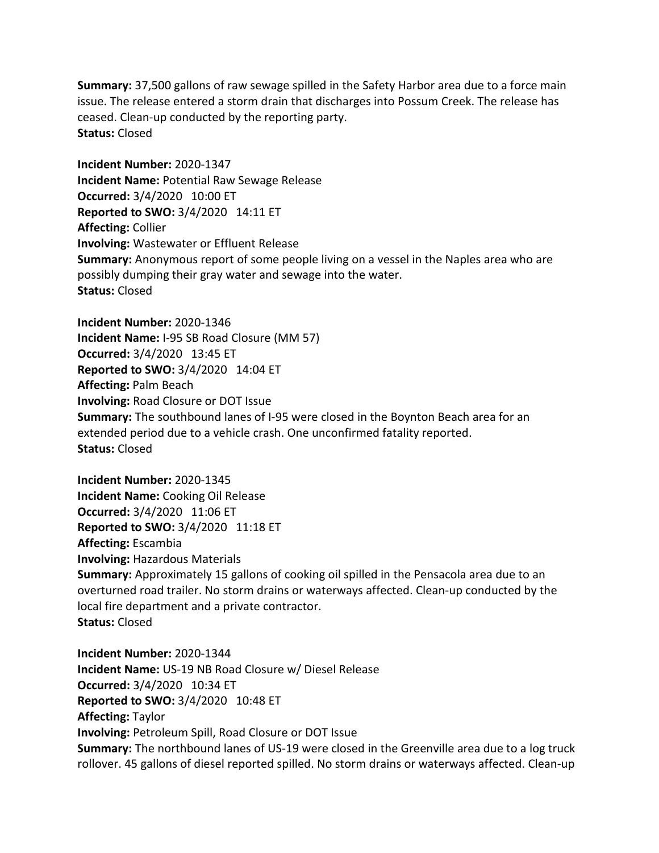**Summary:** 37,500 gallons of raw sewage spilled in the Safety Harbor area due to a force main issue. The release entered a storm drain that discharges into Possum Creek. The release has ceased. Clean-up conducted by the reporting party. **Status:** Closed

**Incident Number:** 2020-1347 **Incident Name:** Potential Raw Sewage Release **Occurred:** 3/4/2020 10:00 ET **Reported to SWO:** 3/4/2020 14:11 ET **Affecting:** Collier **Involving:** Wastewater or Effluent Release **Summary:** Anonymous report of some people living on a vessel in the Naples area who are possibly dumping their gray water and sewage into the water. **Status:** Closed

**Incident Number:** 2020-1346 **Incident Name:** I-95 SB Road Closure (MM 57) **Occurred:** 3/4/2020 13:45 ET **Reported to SWO:** 3/4/2020 14:04 ET **Affecting:** Palm Beach **Involving:** Road Closure or DOT Issue **Summary:** The southbound lanes of I-95 were closed in the Boynton Beach area for an extended period due to a vehicle crash. One unconfirmed fatality reported. **Status:** Closed

**Incident Number:** 2020-1345 **Incident Name:** Cooking Oil Release **Occurred:** 3/4/2020 11:06 ET **Reported to SWO:** 3/4/2020 11:18 ET **Affecting:** Escambia **Involving:** Hazardous Materials **Summary:** Approximately 15 gallons of cooking oil spilled in the Pensacola area due to an overturned road trailer. No storm drains or waterways affected. Clean-up conducted by the local fire department and a private contractor. **Status:** Closed

**Incident Number:** 2020-1344 **Incident Name:** US-19 NB Road Closure w/ Diesel Release **Occurred:** 3/4/2020 10:34 ET **Reported to SWO:** 3/4/2020 10:48 ET **Affecting:** Taylor **Involving:** Petroleum Spill, Road Closure or DOT Issue **Summary:** The northbound lanes of US-19 were closed in the Greenville area due to a log truck rollover. 45 gallons of diesel reported spilled. No storm drains or waterways affected. Clean-up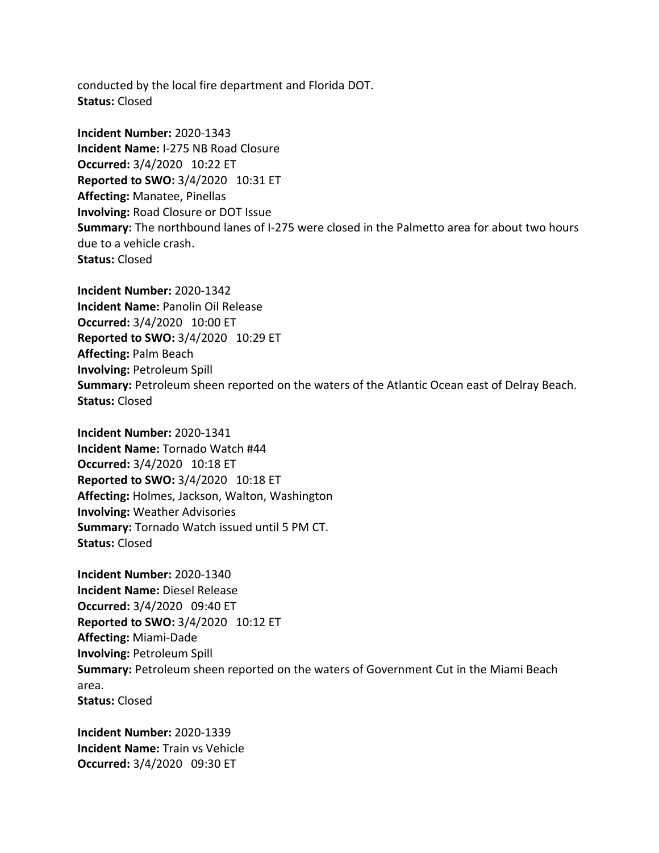conducted by the local fire department and Florida DOT. **Status:** Closed

**Incident Number:** 2020-1343 **Incident Name:** I-275 NB Road Closure **Occurred:** 3/4/2020 10:22 ET **Reported to SWO:** 3/4/2020 10:31 ET **Affecting:** Manatee, Pinellas **Involving:** Road Closure or DOT Issue **Summary:** The northbound lanes of I-275 were closed in the Palmetto area for about two hours due to a vehicle crash. **Status:** Closed

**Incident Number:** 2020-1342 **Incident Name:** Panolin Oil Release **Occurred:** 3/4/2020 10:00 ET **Reported to SWO:** 3/4/2020 10:29 ET **Affecting:** Palm Beach **Involving:** Petroleum Spill **Summary:** Petroleum sheen reported on the waters of the Atlantic Ocean east of Delray Beach. **Status:** Closed

**Incident Number:** 2020-1341 **Incident Name:** Tornado Watch #44 **Occurred:** 3/4/2020 10:18 ET **Reported to SWO:** 3/4/2020 10:18 ET **Affecting:** Holmes, Jackson, Walton, Washington **Involving:** Weather Advisories **Summary:** Tornado Watch issued until 5 PM CT. **Status:** Closed

**Incident Number:** 2020-1340 **Incident Name:** Diesel Release **Occurred:** 3/4/2020 09:40 ET **Reported to SWO:** 3/4/2020 10:12 ET **Affecting:** Miami-Dade **Involving:** Petroleum Spill **Summary:** Petroleum sheen reported on the waters of Government Cut in the Miami Beach area. **Status:** Closed

**Incident Number:** 2020-1339 **Incident Name:** Train vs Vehicle **Occurred:** 3/4/2020 09:30 ET